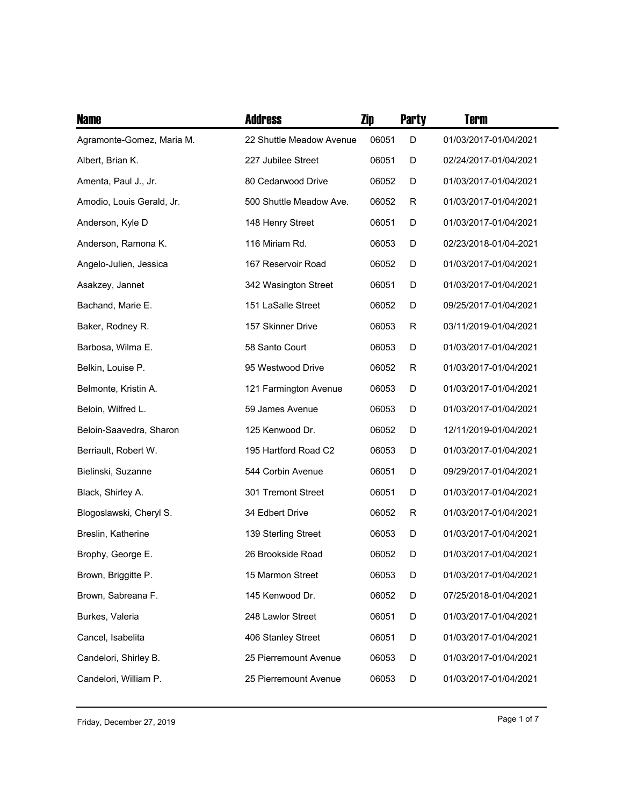| <b>Name</b>               | <b>Address</b>           | Zip   | <b>Party</b> | Term                  |
|---------------------------|--------------------------|-------|--------------|-----------------------|
| Agramonte-Gomez, Maria M. | 22 Shuttle Meadow Avenue | 06051 | D            | 01/03/2017-01/04/2021 |
| Albert, Brian K.          | 227 Jubilee Street       | 06051 | D            | 02/24/2017-01/04/2021 |
| Amenta, Paul J., Jr.      | 80 Cedarwood Drive       | 06052 | D            | 01/03/2017-01/04/2021 |
| Amodio, Louis Gerald, Jr. | 500 Shuttle Meadow Ave.  | 06052 | R            | 01/03/2017-01/04/2021 |
| Anderson, Kyle D          | 148 Henry Street         | 06051 | D            | 01/03/2017-01/04/2021 |
| Anderson, Ramona K.       | 116 Miriam Rd.           | 06053 | D            | 02/23/2018-01/04-2021 |
| Angelo-Julien, Jessica    | 167 Reservoir Road       | 06052 | D            | 01/03/2017-01/04/2021 |
| Asakzey, Jannet           | 342 Wasington Street     | 06051 | D            | 01/03/2017-01/04/2021 |
| Bachand, Marie E.         | 151 LaSalle Street       | 06052 | D            | 09/25/2017-01/04/2021 |
| Baker, Rodney R.          | 157 Skinner Drive        | 06053 | R            | 03/11/2019-01/04/2021 |
| Barbosa, Wilma E.         | 58 Santo Court           | 06053 | D            | 01/03/2017-01/04/2021 |
| Belkin, Louise P.         | 95 Westwood Drive        | 06052 | R            | 01/03/2017-01/04/2021 |
| Belmonte, Kristin A.      | 121 Farmington Avenue    | 06053 | D            | 01/03/2017-01/04/2021 |
| Beloin, Wilfred L.        | 59 James Avenue          | 06053 | D            | 01/03/2017-01/04/2021 |
| Beloin-Saavedra, Sharon   | 125 Kenwood Dr.          | 06052 | D            | 12/11/2019-01/04/2021 |
| Berriault, Robert W.      | 195 Hartford Road C2     | 06053 | D            | 01/03/2017-01/04/2021 |
| Bielinski, Suzanne        | 544 Corbin Avenue        | 06051 | D            | 09/29/2017-01/04/2021 |
| Black, Shirley A.         | 301 Tremont Street       | 06051 | D            | 01/03/2017-01/04/2021 |
| Blogoslawski, Cheryl S.   | 34 Edbert Drive          | 06052 | R            | 01/03/2017-01/04/2021 |
| Breslin, Katherine        | 139 Sterling Street      | 06053 | D            | 01/03/2017-01/04/2021 |
| Brophy, George E.         | 26 Brookside Road        | 06052 | D            | 01/03/2017-01/04/2021 |
| Brown, Briggitte P.       | 15 Marmon Street         | 06053 | D            | 01/03/2017-01/04/2021 |
| Brown, Sabreana F.        | 145 Kenwood Dr.          | 06052 | D            | 07/25/2018-01/04/2021 |
| Burkes, Valeria           | 248 Lawlor Street        | 06051 | D            | 01/03/2017-01/04/2021 |
| Cancel, Isabelita         | 406 Stanley Street       | 06051 | D            | 01/03/2017-01/04/2021 |
| Candelori, Shirley B.     | 25 Pierremount Avenue    | 06053 | D            | 01/03/2017-01/04/2021 |
| Candelori, William P.     | 25 Pierremount Avenue    | 06053 | D            | 01/03/2017-01/04/2021 |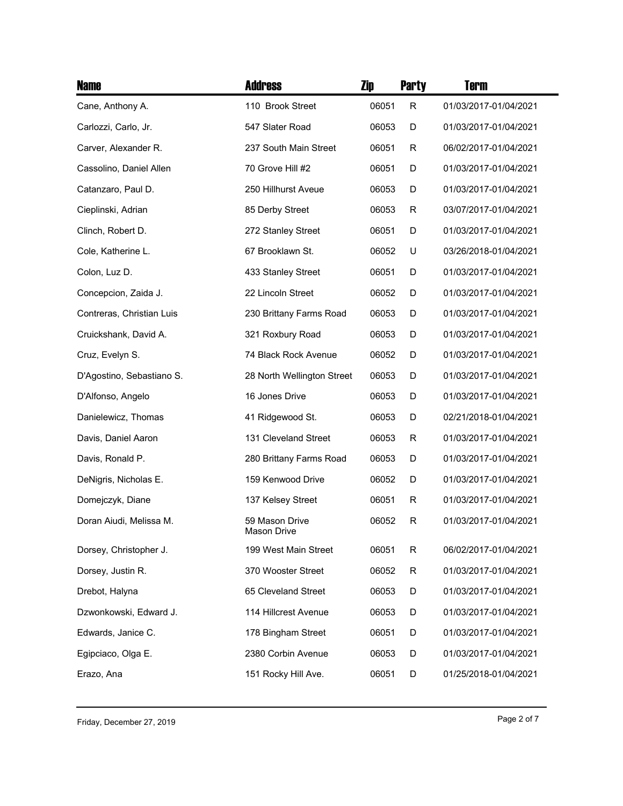| <b>Name</b>               | <b>Address</b>                | Zip   | <b>Party</b> | Term                  |
|---------------------------|-------------------------------|-------|--------------|-----------------------|
| Cane, Anthony A.          | 110 Brook Street              | 06051 | $\mathsf R$  | 01/03/2017-01/04/2021 |
| Carlozzi, Carlo, Jr.      | 547 Slater Road               | 06053 | D            | 01/03/2017-01/04/2021 |
| Carver, Alexander R.      | 237 South Main Street         | 06051 | R            | 06/02/2017-01/04/2021 |
| Cassolino, Daniel Allen   | 70 Grove Hill #2              | 06051 | D            | 01/03/2017-01/04/2021 |
| Catanzaro, Paul D.        | 250 Hillhurst Aveue           | 06053 | D            | 01/03/2017-01/04/2021 |
| Cieplinski, Adrian        | 85 Derby Street               | 06053 | R            | 03/07/2017-01/04/2021 |
| Clinch, Robert D.         | 272 Stanley Street            | 06051 | D            | 01/03/2017-01/04/2021 |
| Cole, Katherine L.        | 67 Brooklawn St.              | 06052 | U            | 03/26/2018-01/04/2021 |
| Colon, Luz D.             | 433 Stanley Street            | 06051 | D            | 01/03/2017-01/04/2021 |
| Concepcion, Zaida J.      | 22 Lincoln Street             | 06052 | D            | 01/03/2017-01/04/2021 |
| Contreras, Christian Luis | 230 Brittany Farms Road       | 06053 | D            | 01/03/2017-01/04/2021 |
| Cruickshank, David A.     | 321 Roxbury Road              | 06053 | D            | 01/03/2017-01/04/2021 |
| Cruz, Evelyn S.           | 74 Black Rock Avenue          | 06052 | D            | 01/03/2017-01/04/2021 |
| D'Agostino, Sebastiano S. | 28 North Wellington Street    | 06053 | D            | 01/03/2017-01/04/2021 |
| D'Alfonso, Angelo         | 16 Jones Drive                | 06053 | D            | 01/03/2017-01/04/2021 |
| Danielewicz, Thomas       | 41 Ridgewood St.              | 06053 | D            | 02/21/2018-01/04/2021 |
| Davis, Daniel Aaron       | 131 Cleveland Street          | 06053 | R            | 01/03/2017-01/04/2021 |
| Davis, Ronald P.          | 280 Brittany Farms Road       | 06053 | D            | 01/03/2017-01/04/2021 |
| DeNigris, Nicholas E.     | 159 Kenwood Drive             | 06052 | D            | 01/03/2017-01/04/2021 |
| Domejczyk, Diane          | 137 Kelsey Street             | 06051 | R            | 01/03/2017-01/04/2021 |
| Doran Aiudi, Melissa M.   | 59 Mason Drive<br>Mason Drive | 06052 | R            | 01/03/2017-01/04/2021 |
| Dorsey, Christopher J.    | 199 West Main Street          | 06051 | $\mathsf R$  | 06/02/2017-01/04/2021 |
| Dorsey, Justin R.         | 370 Wooster Street            | 06052 | R            | 01/03/2017-01/04/2021 |
| Drebot, Halyna            | 65 Cleveland Street           | 06053 | D            | 01/03/2017-01/04/2021 |
| Dzwonkowski, Edward J.    | 114 Hillcrest Avenue          | 06053 | D            | 01/03/2017-01/04/2021 |
| Edwards, Janice C.        | 178 Bingham Street            | 06051 | D            | 01/03/2017-01/04/2021 |
| Egipciaco, Olga E.        | 2380 Corbin Avenue            | 06053 | D            | 01/03/2017-01/04/2021 |
| Erazo, Ana                | 151 Rocky Hill Ave.           | 06051 | D            | 01/25/2018-01/04/2021 |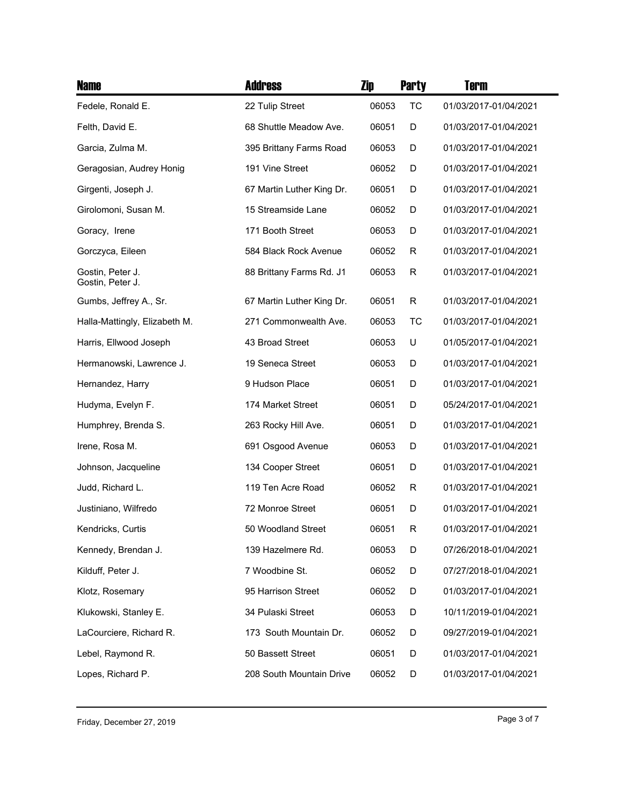| <b>Name</b>                          | <b>Address</b>            | Zip   | <b>Party</b> | Term                  |
|--------------------------------------|---------------------------|-------|--------------|-----------------------|
| Fedele, Ronald E.                    | 22 Tulip Street           | 06053 | TC           | 01/03/2017-01/04/2021 |
| Felth, David E.                      | 68 Shuttle Meadow Ave.    | 06051 | D            | 01/03/2017-01/04/2021 |
| Garcia, Zulma M.                     | 395 Brittany Farms Road   | 06053 | D            | 01/03/2017-01/04/2021 |
| Geragosian, Audrey Honig             | 191 Vine Street           | 06052 | D            | 01/03/2017-01/04/2021 |
| Girgenti, Joseph J.                  | 67 Martin Luther King Dr. | 06051 | D            | 01/03/2017-01/04/2021 |
| Girolomoni, Susan M.                 | 15 Streamside Lane        | 06052 | D            | 01/03/2017-01/04/2021 |
| Goracy, Irene                        | 171 Booth Street          | 06053 | D            | 01/03/2017-01/04/2021 |
| Gorczyca, Eileen                     | 584 Black Rock Avenue     | 06052 | R            | 01/03/2017-01/04/2021 |
| Gostin, Peter J.<br>Gostin, Peter J. | 88 Brittany Farms Rd. J1  | 06053 | R            | 01/03/2017-01/04/2021 |
| Gumbs, Jeffrey A., Sr.               | 67 Martin Luther King Dr. | 06051 | R            | 01/03/2017-01/04/2021 |
| Halla-Mattingly, Elizabeth M.        | 271 Commonwealth Ave.     | 06053 | ТC           | 01/03/2017-01/04/2021 |
| Harris, Ellwood Joseph               | 43 Broad Street           | 06053 | U            | 01/05/2017-01/04/2021 |
| Hermanowski, Lawrence J.             | 19 Seneca Street          | 06053 | D            | 01/03/2017-01/04/2021 |
| Hernandez, Harry                     | 9 Hudson Place            | 06051 | D            | 01/03/2017-01/04/2021 |
| Hudyma, Evelyn F.                    | 174 Market Street         | 06051 | D            | 05/24/2017-01/04/2021 |
| Humphrey, Brenda S.                  | 263 Rocky Hill Ave.       | 06051 | D            | 01/03/2017-01/04/2021 |
| Irene, Rosa M.                       | 691 Osgood Avenue         | 06053 | D            | 01/03/2017-01/04/2021 |
| Johnson, Jacqueline                  | 134 Cooper Street         | 06051 | D            | 01/03/2017-01/04/2021 |
| Judd, Richard L.                     | 119 Ten Acre Road         | 06052 | R            | 01/03/2017-01/04/2021 |
| Justiniano, Wilfredo                 | 72 Monroe Street          | 06051 | D            | 01/03/2017-01/04/2021 |
| Kendricks, Curtis                    | 50 Woodland Street        | 06051 | R            | 01/03/2017-01/04/2021 |
| Kennedy, Brendan J.                  | 139 Hazelmere Rd.         | 06053 | D            | 07/26/2018-01/04/2021 |
| Kilduff, Peter J.                    | 7 Woodbine St.            | 06052 | D            | 07/27/2018-01/04/2021 |
| Klotz, Rosemary                      | 95 Harrison Street        | 06052 | D            | 01/03/2017-01/04/2021 |
| Klukowski, Stanley E.                | 34 Pulaski Street         | 06053 | D            | 10/11/2019-01/04/2021 |
| LaCourciere, Richard R.              | 173 South Mountain Dr.    | 06052 | D            | 09/27/2019-01/04/2021 |
| Lebel, Raymond R.                    | 50 Bassett Street         | 06051 | D            | 01/03/2017-01/04/2021 |
| Lopes, Richard P.                    | 208 South Mountain Drive  | 06052 | D            | 01/03/2017-01/04/2021 |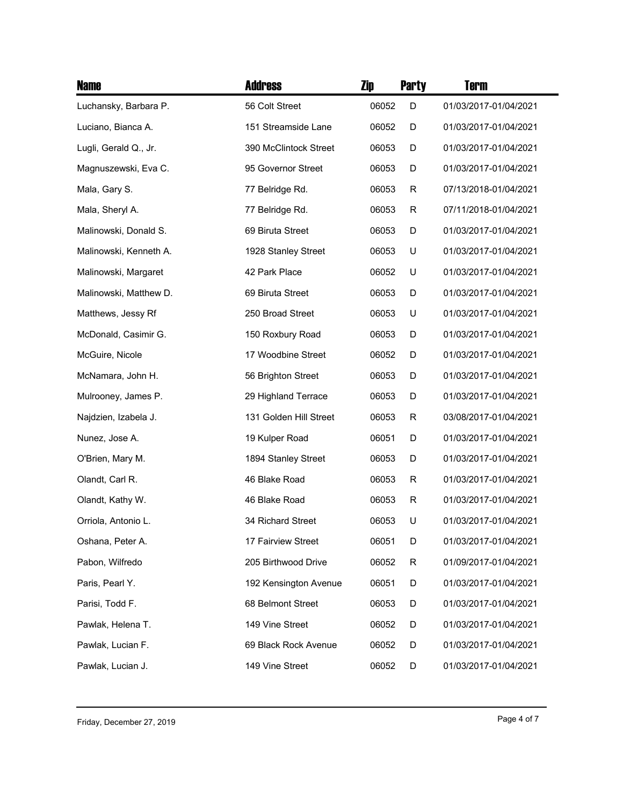| <b>Name</b>            | <b>Address</b>         | Zip   | <b>Party</b> | Term                  |
|------------------------|------------------------|-------|--------------|-----------------------|
| Luchansky, Barbara P.  | 56 Colt Street         | 06052 | D            | 01/03/2017-01/04/2021 |
| Luciano, Bianca A.     | 151 Streamside Lane    | 06052 | D            | 01/03/2017-01/04/2021 |
| Lugli, Gerald Q., Jr.  | 390 McClintock Street  | 06053 | D            | 01/03/2017-01/04/2021 |
| Magnuszewski, Eva C.   | 95 Governor Street     | 06053 | D            | 01/03/2017-01/04/2021 |
| Mala, Gary S.          | 77 Belridge Rd.        | 06053 | R            | 07/13/2018-01/04/2021 |
| Mala, Sheryl A.        | 77 Belridge Rd.        | 06053 | R            | 07/11/2018-01/04/2021 |
| Malinowski, Donald S.  | 69 Biruta Street       | 06053 | D            | 01/03/2017-01/04/2021 |
| Malinowski, Kenneth A. | 1928 Stanley Street    | 06053 | U            | 01/03/2017-01/04/2021 |
| Malinowski, Margaret   | 42 Park Place          | 06052 | U            | 01/03/2017-01/04/2021 |
| Malinowski, Matthew D. | 69 Biruta Street       | 06053 | D            | 01/03/2017-01/04/2021 |
| Matthews, Jessy Rf     | 250 Broad Street       | 06053 | U            | 01/03/2017-01/04/2021 |
| McDonald, Casimir G.   | 150 Roxbury Road       | 06053 | D            | 01/03/2017-01/04/2021 |
| McGuire, Nicole        | 17 Woodbine Street     | 06052 | D            | 01/03/2017-01/04/2021 |
| McNamara, John H.      | 56 Brighton Street     | 06053 | D            | 01/03/2017-01/04/2021 |
| Mulrooney, James P.    | 29 Highland Terrace    | 06053 | D            | 01/03/2017-01/04/2021 |
| Najdzien, Izabela J.   | 131 Golden Hill Street | 06053 | R            | 03/08/2017-01/04/2021 |
| Nunez, Jose A.         | 19 Kulper Road         | 06051 | D            | 01/03/2017-01/04/2021 |
| O'Brien, Mary M.       | 1894 Stanley Street    | 06053 | D            | 01/03/2017-01/04/2021 |
| Olandt, Carl R.        | 46 Blake Road          | 06053 | R            | 01/03/2017-01/04/2021 |
| Olandt, Kathy W.       | 46 Blake Road          | 06053 | R            | 01/03/2017-01/04/2021 |
| Orriola, Antonio L.    | 34 Richard Street      | 06053 | U            | 01/03/2017-01/04/2021 |
| Oshana, Peter A.       | 17 Fairview Street     | 06051 | D            | 01/03/2017-01/04/2021 |
| Pabon, Wilfredo        | 205 Birthwood Drive    | 06052 | R            | 01/09/2017-01/04/2021 |
| Paris, Pearl Y.        | 192 Kensington Avenue  | 06051 | D            | 01/03/2017-01/04/2021 |
| Parisi, Todd F.        | 68 Belmont Street      | 06053 | D            | 01/03/2017-01/04/2021 |
| Pawlak, Helena T.      | 149 Vine Street        | 06052 | D            | 01/03/2017-01/04/2021 |
| Pawlak, Lucian F.      | 69 Black Rock Avenue   | 06052 | D            | 01/03/2017-01/04/2021 |
| Pawlak, Lucian J.      | 149 Vine Street        | 06052 | D            | 01/03/2017-01/04/2021 |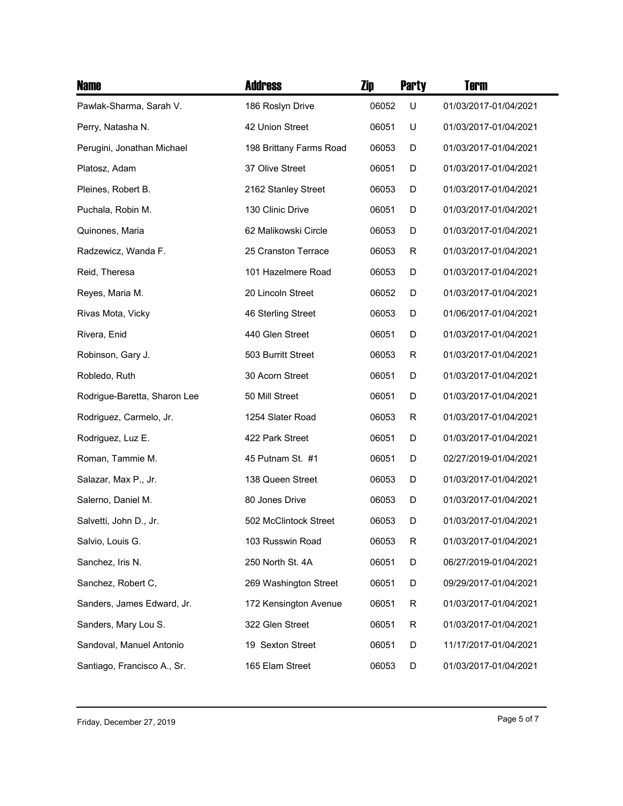| <b>Name</b>                  | <b>Address</b>          | Zip   | <b>Party</b> | Term                  |
|------------------------------|-------------------------|-------|--------------|-----------------------|
| Pawlak-Sharma, Sarah V.      | 186 Roslyn Drive        | 06052 | U            | 01/03/2017-01/04/2021 |
| Perry, Natasha N.            | 42 Union Street         | 06051 | U            | 01/03/2017-01/04/2021 |
| Perugini, Jonathan Michael   | 198 Brittany Farms Road | 06053 | D            | 01/03/2017-01/04/2021 |
| Platosz, Adam                | 37 Olive Street         | 06051 | D            | 01/03/2017-01/04/2021 |
| Pleines, Robert B.           | 2162 Stanley Street     | 06053 | D            | 01/03/2017-01/04/2021 |
| Puchala, Robin M.            | 130 Clinic Drive        | 06051 | D            | 01/03/2017-01/04/2021 |
| Quinones, Maria              | 62 Malikowski Circle    | 06053 | D            | 01/03/2017-01/04/2021 |
| Radzewicz, Wanda F.          | 25 Cranston Terrace     | 06053 | R            | 01/03/2017-01/04/2021 |
| Reid, Theresa                | 101 Hazelmere Road      | 06053 | D            | 01/03/2017-01/04/2021 |
| Reyes, Maria M.              | 20 Lincoln Street       | 06052 | D            | 01/03/2017-01/04/2021 |
| Rivas Mota, Vicky            | 46 Sterling Street      | 06053 | D            | 01/06/2017-01/04/2021 |
| Rivera, Enid                 | 440 Glen Street         | 06051 | D            | 01/03/2017-01/04/2021 |
| Robinson, Gary J.            | 503 Burritt Street      | 06053 | R            | 01/03/2017-01/04/2021 |
| Robledo, Ruth                | 30 Acorn Street         | 06051 | D            | 01/03/2017-01/04/2021 |
| Rodrigue-Baretta, Sharon Lee | 50 Mill Street          | 06051 | D            | 01/03/2017-01/04/2021 |
| Rodriguez, Carmelo, Jr.      | 1254 Slater Road        | 06053 | R            | 01/03/2017-01/04/2021 |
| Rodriguez, Luz E.            | 422 Park Street         | 06051 | D            | 01/03/2017-01/04/2021 |
| Roman, Tammie M.             | 45 Putnam St. #1        | 06051 | D            | 02/27/2019-01/04/2021 |
| Salazar, Max P., Jr.         | 138 Queen Street        | 06053 | D            | 01/03/2017-01/04/2021 |
| Salerno, Daniel M.           | 80 Jones Drive          | 06053 | D            | 01/03/2017-01/04/2021 |
| Salvetti, John D., Jr.       | 502 McClintock Street   | 06053 | D            | 01/03/2017-01/04/2021 |
| Salvio, Louis G.             | 103 Russwin Road        | 06053 | R            | 01/03/2017-01/04/2021 |
| Sanchez, Iris N.             | 250 North St. 4A        | 06051 | D            | 06/27/2019-01/04/2021 |
| Sanchez, Robert C,           | 269 Washington Street   | 06051 | D            | 09/29/2017-01/04/2021 |
| Sanders, James Edward, Jr.   | 172 Kensington Avenue   | 06051 | R            | 01/03/2017-01/04/2021 |
| Sanders, Mary Lou S.         | 322 Glen Street         | 06051 | R            | 01/03/2017-01/04/2021 |
| Sandoval, Manuel Antonio     | 19 Sexton Street        | 06051 | D            | 11/17/2017-01/04/2021 |
| Santiago, Francisco A., Sr.  | 165 Elam Street         | 06053 | D            | 01/03/2017-01/04/2021 |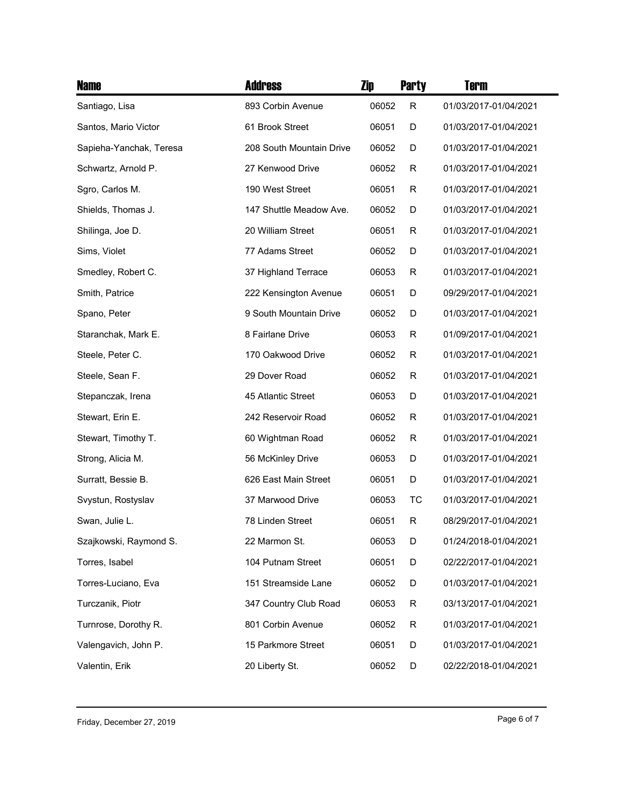| <b>Name</b>             | Address                  | Zip   | <b>Party</b> | <b>Term</b>           |
|-------------------------|--------------------------|-------|--------------|-----------------------|
| Santiago, Lisa          | 893 Corbin Avenue        | 06052 | R            | 01/03/2017-01/04/2021 |
| Santos, Mario Victor    | 61 Brook Street          | 06051 | D            | 01/03/2017-01/04/2021 |
| Sapieha-Yanchak, Teresa | 208 South Mountain Drive | 06052 | D            | 01/03/2017-01/04/2021 |
| Schwartz, Arnold P.     | 27 Kenwood Drive         | 06052 | R            | 01/03/2017-01/04/2021 |
| Sgro, Carlos M.         | 190 West Street          | 06051 | R            | 01/03/2017-01/04/2021 |
| Shields, Thomas J.      | 147 Shuttle Meadow Ave.  | 06052 | D            | 01/03/2017-01/04/2021 |
| Shilinga, Joe D.        | 20 William Street        | 06051 | R            | 01/03/2017-01/04/2021 |
| Sims, Violet            | 77 Adams Street          | 06052 | D            | 01/03/2017-01/04/2021 |
| Smedley, Robert C.      | 37 Highland Terrace      | 06053 | R            | 01/03/2017-01/04/2021 |
| Smith, Patrice          | 222 Kensington Avenue    | 06051 | D            | 09/29/2017-01/04/2021 |
| Spano, Peter            | 9 South Mountain Drive   | 06052 | D            | 01/03/2017-01/04/2021 |
| Staranchak, Mark E.     | 8 Fairlane Drive         | 06053 | R            | 01/09/2017-01/04/2021 |
| Steele, Peter C.        | 170 Oakwood Drive        | 06052 | R            | 01/03/2017-01/04/2021 |
| Steele, Sean F.         | 29 Dover Road            | 06052 | R            | 01/03/2017-01/04/2021 |
| Stepanczak, Irena       | 45 Atlantic Street       | 06053 | D            | 01/03/2017-01/04/2021 |
| Stewart, Erin E.        | 242 Reservoir Road       | 06052 | R            | 01/03/2017-01/04/2021 |
| Stewart, Timothy T.     | 60 Wightman Road         | 06052 | R            | 01/03/2017-01/04/2021 |
| Strong, Alicia M.       | 56 McKinley Drive        | 06053 | D            | 01/03/2017-01/04/2021 |
| Surratt, Bessie B.      | 626 East Main Street     | 06051 | D            | 01/03/2017-01/04/2021 |
| Svystun, Rostyslav      | 37 Marwood Drive         | 06053 | ТC           | 01/03/2017-01/04/2021 |
| Swan, Julie L.          | 78 Linden Street         | 06051 | R            | 08/29/2017-01/04/2021 |
| Szajkowski, Raymond S.  | 22 Marmon St.            | 06053 | D            | 01/24/2018-01/04/2021 |
| Torres, Isabel          | 104 Putnam Street        | 06051 | D            | 02/22/2017-01/04/2021 |
| Torres-Luciano, Eva     | 151 Streamside Lane      | 06052 | D            | 01/03/2017-01/04/2021 |
| Turczanik, Piotr        | 347 Country Club Road    | 06053 | R            | 03/13/2017-01/04/2021 |
| Turnrose, Dorothy R.    | 801 Corbin Avenue        | 06052 | R            | 01/03/2017-01/04/2021 |
| Valengavich, John P.    | 15 Parkmore Street       | 06051 | D            | 01/03/2017-01/04/2021 |
| Valentin, Erik          | 20 Liberty St.           | 06052 | D            | 02/22/2018-01/04/2021 |